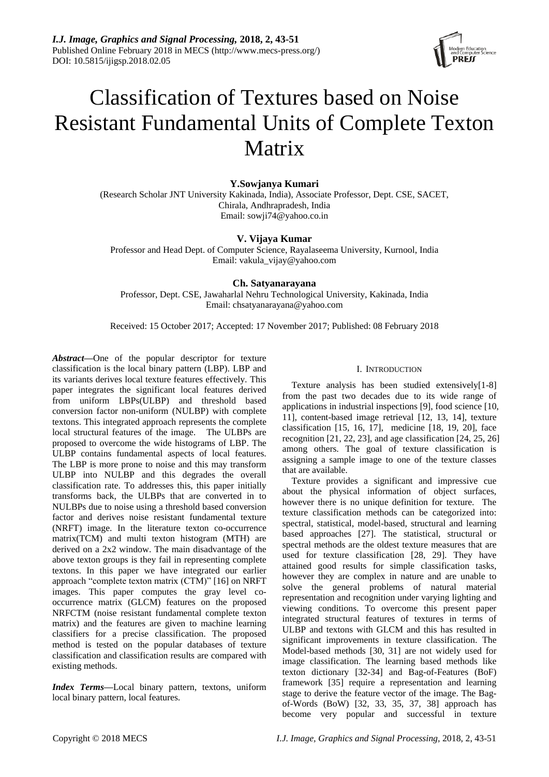

# Classification of Textures based on Noise Resistant Fundamental Units of Complete Texton Matrix

# **Y.Sowjanya Kumari**

(Research Scholar JNT University Kakinada, India), Associate Professor, Dept. CSE, SACET, Chirala, Andhrapradesh, India Email: [sowji74@yahoo.co.in](mailto:sowji74@yahoo.co.in)

# **V. Vijaya Kumar**

Professor and Head Dept. of Computer Science, Rayalaseema University, Kurnool, India Email: [vakula\\_vijay@yahoo.com](mailto:vakula_vijay@yahoo.com)

**Ch. Satyanarayana** Professor, Dept. CSE, Jawaharlal Nehru Technological University, Kakinada, India

Email: [chsatyanarayana@yahoo.com](mailto:chsatyanarayana@yahoo.com)

Received: 15 October 2017; Accepted: 17 November 2017; Published: 08 February 2018

*Abstract***—**One of the popular descriptor for texture classification is the local binary pattern (LBP). LBP and its variants derives local texture features effectively. This paper integrates the significant local features derived from uniform LBPs(ULBP) and threshold based conversion factor non-uniform (NULBP) with complete textons. This integrated approach represents the complete local structural features of the image. The ULBPs are proposed to overcome the wide histograms of LBP. The ULBP contains fundamental aspects of local features. The LBP is more prone to noise and this may transform ULBP into NULBP and this degrades the overall classification rate. To addresses this, this paper initially transforms back, the ULBPs that are converted in to NULBPs due to noise using a threshold based conversion factor and derives noise resistant fundamental texture (NRFT) image. In the literature texton co-occurrence matrix(TCM) and multi texton histogram (MTH) are derived on a 2x2 window. The main disadvantage of the above texton groups is they fail in representing complete textons. In this paper we have integrated our earlier approach "complete texton matrix (CTM)" [16] on NRFT images. This paper computes the gray level cooccurrence matrix (GLCM) features on the proposed NRFCTM (noise resistant fundamental complete texton matrix) and the features are given to machine learning classifiers for a precise classification. The proposed method is tested on the popular databases of texture classification and classification results are compared with existing methods.

*Index Terms***—**Local binary pattern, textons, uniform local binary pattern, local features.

## I. INTRODUCTION

Texture analysis has been studied extensively[1-8] from the past two decades due to its wide range of applications in industrial inspections [9], food science [10, 11], content-based image retrieval [12, 13, 14], texture classification [15, 16, 17], medicine [18, 19, 20], face recognition [21, 22, 23], and age classification [24, 25, 26] among others. The goal of texture classification is assigning a sample image to one of the texture classes that are available.

Texture provides a significant and impressive cue about the physical information of object surfaces, however there is no unique definition for texture. The texture classification methods can be categorized into: spectral, statistical, model-based, structural and learning based approaches [27]. The statistical, structural or spectral methods are the oldest texture measures that are used for texture classification [28, 29]. They have attained good results for simple classification tasks, however they are complex in nature and are unable to solve the general problems of natural material representation and recognition under varying lighting and viewing conditions. To overcome this present paper integrated structural features of textures in terms of ULBP and textons with GLCM and this has resulted in significant improvements in texture classification. The Model-based methods [30, 31] are not widely used for image classification. The learning based methods like texton dictionary [32-34] and Bag-of-Features (BoF) framework [35] require a representation and learning stage to derive the feature vector of the image. The Bagof-Words (BoW) [32, 33, 35, 37, 38] approach has become very popular and successful in texture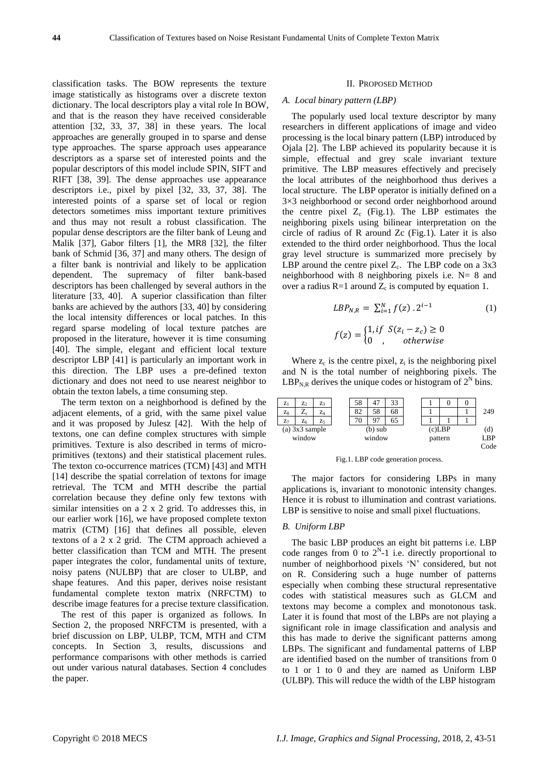classification tasks. The BOW represents the texture image statistically as histograms over a discrete texton dictionary. The local descriptors play a vital role In BOW, and that is the reason they have received considerable attention [32, 33, 37, 38] in these years. The local approaches are generally grouped in to sparse and dense type approaches. The sparse approach uses appearance descriptors as a sparse set of interested points and the popular descriptors of this model include SPIN, SIFT and RIFT [38, 39]. The dense approaches use appearance descriptors i.e., pixel by pixel [32, 33, 37, 38]. The interested points of a sparse set of local or region detectors sometimes miss important texture primitives and thus may not result a robust classification. The popular dense descriptors are the filter bank of Leung and Malik [37], Gabor filters [1], the MR8 [32], the filter bank of Schmid [36, 37] and many others. The design of a filter bank is nontrivial and likely to be application dependent. The supremacy of filter bank-based descriptors has been challenged by several authors in the literature [33, 40]. A superior classification than filter banks are achieved by the authors [33, 40] by considering the local intensity differences or local patches. In this regard sparse modeling of local texture patches are proposed in the literature, however it is time consuming [40]. The simple, elegant and efficient local texture descriptor LBP [41] is particularly an important work in this direction. The LBP uses a pre-defined texton dictionary and does not need to use nearest neighbor to obtain the texton labels, a time consuming step.

The term texton on a neighborhood is defined by the adjacent elements, of a grid, with the same pixel value and it was proposed by Julesz [42]. With the help of textons, one can define complex structures with simple primitives. Texture is also described in terms of microprimitives (textons) and their statistical placement rules. The texton co-occurrence matrices (TCM) [43] and MTH [14] describe the spatial correlation of textons for image retrieval. The TCM and MTH describe the partial correlation because they define only few textons with similar intensities on a 2 x 2 grid. To addresses this, in our earlier work [16], we have proposed complete texton matrix (CTM) [16] that defines all possible, eleven textons of a 2 x 2 grid. The CTM approach achieved a better classification than TCM and MTH. The present paper integrates the color, fundamental units of texture, noisy patens (NULBP) that are closer to ULBP, and shape features. And this paper, derives noise resistant fundamental complete texton matrix (NRFCTM) to describe image features for a precise texture classification.

The rest of this paper is organized as follows. In Section 2, the proposed NRFCTM is presented, with a brief discussion on LBP, ULBP, TCM, MTH and CTM concepts. In Section 3, results, discussions and performance comparisons with other methods is carried out under various natural databases. Section 4 concludes the paper.

#### II. PROPOSED METHOD

#### *A. Local binary pattern (LBP)*

The popularly used local texture descriptor by many researchers in different applications of image and video processing is the local binary pattern (LBP) introduced by Ojala [2]. The LBP achieved its popularity because it is simple, effectual and grey scale invariant texture primitive. The LBP measures effectively and precisely the local attributes of the neighborhood thus derives a local structure. The LBP operator is initially defined on a 3×3 neighborhood or second order neighborhood around the centre pixel  $Z_c$  (Fig.1). The LBP estimates the neighboring pixels using bilinear interpretation on the circle of radius of R around Zc (Fig.1). Later it is also extended to the third order neighborhood. Thus the local gray level structure is summarized more precisely by LBP around the centre pixel  $Z_c$ . The LBP code on a 3x3 neighborhood with 8 neighboring pixels i.e. N= 8 and over a radius  $R=1$  around  $Z_c$  is computed by equation 1.

$$
LBP_{N,R} = \sum_{i=1}^{N} f(z) \cdot 2^{i-1}
$$
  
\n
$$
f(z) = \begin{cases} 1, if \ S(z_i - z_c) \ge 0 \\ 0, otherwise \end{cases}
$$
 (1)  
\n
$$
(1)
$$

Where  $z_c$  is the centre pixel,  $z_i$  is the neighboring pixel and N is the total number of neighboring pixels. The  $LBP_{N,R}$  derives the unique codes or histogram of  $2^N$  bins.



Fig.1. LBP code generation process.

The major factors for considering LBPs in many applications is, invariant to monotonic intensity changes. Hence it is robust to illumination and contrast variations. LBP is sensitive to noise and small pixel fluctuations.

#### *B. Uniform LBP*

The basic LBP produces an eight bit patterns i.e. LBP code ranges from 0 to  $2^N-1$  i.e. directly proportional to number of neighborhood pixels 'N' considered, but not on R. Considering such a huge number of patterns especially when combing these structural representative codes with statistical measures such as GLCM and textons may become a complex and monotonous task. Later it is found that most of the LBPs are not playing a significant role in image classification and analysis and this has made to derive the significant patterns among LBPs. The significant and fundamental patterns of LBP are identified based on the number of transitions from 0 to 1 or 1 to 0 and they are named as Uniform LBP (ULBP). This will reduce the width of the LBP histogram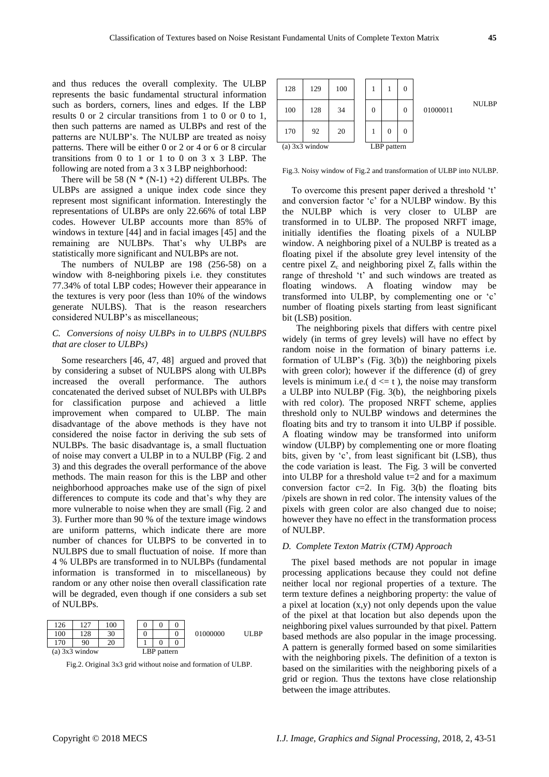and thus reduces the overall complexity. The ULBP represents the basic fundamental structural information such as borders, corners, lines and edges. If the LBP results 0 or 2 circular transitions from 1 to 0 or 0 to 1, then such patterns are named as ULBPs and rest of the patterns are NULBP's. The NULBP are treated as noisy patterns. There will be either 0 or 2 or 4 or 6 or 8 circular transitions from 0 to 1 or 1 to 0 on 3  $\times$  3 LBP. The following are noted from a 3 x 3 LBP neighborhood:

There will be 58 ( $N * (N-1) + 2$ ) different ULBPs. The ULBPs are assigned a unique index code since they represent most significant information. Interestingly the representations of ULBPs are only 22.66% of total LBP codes. However ULBP accounts more than 85% of windows in texture [44] and in facial images [45] and the remaining are NULBPs. That's why ULBPs are statistically more significant and NULBPs are not.

The numbers of NULBP are 198 (256-58) on a window with 8-neighboring pixels i.e. they constitutes 77.34% of total LBP codes; However their appearance in the textures is very poor (less than 10% of the windows generate NULBS). That is the reason researchers considered NULBP's as miscellaneous;

## *C. Conversions of noisy ULBPs in to ULBPS (NULBPS that are closer to ULBPs)*

Some researchers [46, 47, 48] argued and proved that by considering a subset of NULBPS along with ULBPs increased the overall performance. The authors concatenated the derived subset of NULBPs with ULBPs for classification purpose and achieved a little improvement when compared to ULBP. The main disadvantage of the above methods is they have not considered the noise factor in deriving the sub sets of NULBPs. The basic disadvantage is, a small fluctuation of noise may convert a ULBP in to a NULBP (Fig. 2 and 3) and this degrades the overall performance of the above methods. The main reason for this is the LBP and other neighborhood approaches make use of the sign of pixel differences to compute its code and that's why they are more vulnerable to noise when they are small (Fig. 2 and 3). Further more than 90 % of the texture image windows are uniform patterns, which indicate there are more number of chances for ULBPS to be converted in to NULBPS due to small fluctuation of noise. If more than 4 % ULBPs are transformed in to NULBPs (fundamental information is transformed in to miscellaneous) by random or any other noise then overall classification rate will be degraded, even though if one considers a sub set of NULBPs.



Fig.2. Original 3x3 grid without noise and formation of ULBP.

| 128              | 129 | 100 |   |             | 0        |          |              |
|------------------|-----|-----|---|-------------|----------|----------|--------------|
| 100              | 128 | 34  | 0 |             | $\theta$ | 01000011 | <b>NULBP</b> |
| 170              | 92  | 20  |   | 0           | 0        |          |              |
| $(a)$ 3x3 window |     |     |   | LBP pattern |          |          |              |

Fig.3. Noisy window of Fig.2 and transformation of ULBP into NULBP.

To overcome this present paper derived a threshold 't' and conversion factor 'c' for a NULBP window. By this the NULBP which is very closer to ULBP are transformed in to ULBP. The proposed NRFT image, initially identifies the floating pixels of a NULBP window. A neighboring pixel of a NULBP is treated as a floating pixel if the absolute grey level intensity of the centre pixel  $Z_c$  and neighboring pixel  $Z_i$  falls within the range of threshold 't' and such windows are treated as floating windows. A floating window may be transformed into ULBP, by complementing one or 'c' number of floating pixels starting from least significant bit (LSB) position.

 The neighboring pixels that differs with centre pixel widely (in terms of grey levels) will have no effect by random noise in the formation of binary patterns i.e. formation of ULBP's (Fig. 3(b)) the neighboring pixels with green color); however if the difference (d) of grey levels is minimum i.e.( $d \leq t$ ), the noise may transform a ULBP into NULBP (Fig. 3(b), the neighboring pixels with red color). The proposed NRFT scheme, applies threshold only to NULBP windows and determines the floating bits and try to transom it into ULBP if possible. A floating window may be transformed into uniform window (ULBP) by complementing one or more floating bits, given by 'c', from least significant bit (LSB), thus the code variation is least. The Fig. 3 will be converted into ULBP for a threshold value t=2 and for a maximum conversion factor  $c=2$ . In Fig. 3(b) the floating bits /pixels are shown in red color. The intensity values of the pixels with green color are also changed due to noise; however they have no effect in the transformation process of NULBP.

## *D. Complete Texton Matrix (CTM) Approach*

The pixel based methods are not popular in image processing applications because they could not define neither local nor regional properties of a texture. The term texture defines a neighboring property: the value of a pixel at location (x,y) not only depends upon the value of the pixel at that location but also depends upon the neighboring pixel values surrounded by that pixel. Pattern based methods are also popular in the image processing. A pattern is generally formed based on some similarities with the neighboring pixels. The definition of a texton is based on the similarities with the neighboring pixels of a grid or region. Thus the textons have close relationship between the image attributes.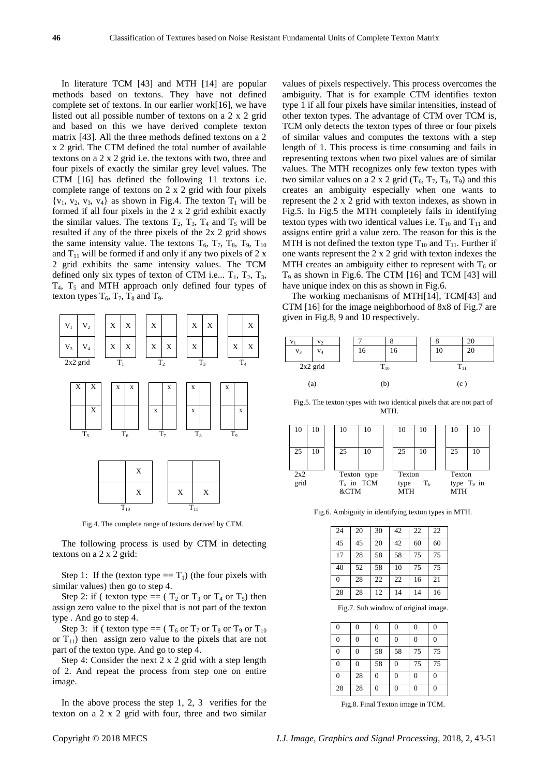In literature TCM [43] and MTH [14] are popular methods based on textons. They have not defined complete set of textons. In our earlier work[16], we have listed out all possible number of textons on a 2 x 2 grid and based on this we have derived complete texton matrix [43]. All the three methods defined textons on a 2 x 2 grid. The CTM defined the total number of available textons on a 2 x 2 grid i.e. the textons with two, three and four pixels of exactly the similar grey level values. The CTM [16] has defined the following 11 textons i.e. complete range of textons on 2 x 2 grid with four pixels  ${v_1, v_2, v_3, v_4}$  as shown in Fig.4. The texton  $T_1$  will be formed if all four pixels in the 2 x 2 grid exhibit exactly the similar values. The textons  $T_2$ ,  $T_3$ ,  $T_4$  and  $T_5$  will be resulted if any of the three pixels of the 2x 2 grid shows the same intensity value. The textons  $T_6$ ,  $T_7$ ,  $T_8$ ,  $T_9$ ,  $T_{10}$ and  $T_{11}$  will be formed if and only if any two pixels of 2 x 2 grid exhibits the same intensity values. The TCM defined only six types of texton of CTM i.e...  $T_1$ ,  $T_2$ ,  $T_3$ ,  $T_4$ ,  $T_5$  and MTH approach only defined four types of texton types  $T_6$ ,  $T_7$ ,  $T_8$  and  $T_9$ .



Fig.4. The complete range of textons derived by CTM.

The following process is used by CTM in detecting textons on a 2 x 2 grid:

Step 1: If the (texton type  $= T_1$ ) (the four pixels with similar values) then go to step 4.

Step 2: if ( texton type ==  $(T_2$  or  $T_3$  or  $T_4$  or  $T_5$ ) then assign zero value to the pixel that is not part of the texton type . And go to step 4.

Step 3: if ( texton type ==  $(T_6$  or  $T_7$  or  $T_8$  or  $T_9$  or  $T_{10}$ or  $T_{11}$ ) then assign zero value to the pixels that are not part of the texton type. And go to step 4.

Step 4: Consider the next 2 x 2 grid with a step length of 2. And repeat the process from step one on entire image.

In the above process the step 1, 2, 3 verifies for the texton on a 2 x 2 grid with four, three and two similar values of pixels respectively. This process overcomes the ambiguity. That is for example CTM identifies texton type 1 if all four pixels have similar intensities, instead of other texton types. The advantage of CTM over TCM is, TCM only detects the texton types of three or four pixels of similar values and computes the textons with a step length of 1. This process is time consuming and fails in representing textons when two pixel values are of similar values. The MTH recognizes only few texton types with two similar values on a 2 x 2 grid  $(T_6, T_7, T_8, T_9)$  and this creates an ambiguity especially when one wants to represent the 2 x 2 grid with texton indexes, as shown in Fig.5. In Fig.5 the MTH completely fails in identifying texton types with two identical values i.e.  $T_{10}$  and  $T_{11}$  and assigns entire grid a value zero. The reason for this is the MTH is not defined the texton type  $T_{10}$  and  $T_{11}$ . Further if one wants represent the 2 x 2 grid with texton indexes the MTH creates an ambiguity either to represent with  $T<sub>6</sub>$  or  $T_9$  as shown in Fig.6. The CTM  $[16]$  and TCM  $[43]$  will have unique index on this as shown in Fig.6.

The working mechanisms of MTH[14], TCM[43] and CTM [16] for the image neighborhood of 8x8 of Fig.7 are given in Fig.8, 9 and 10 respectively.



Fig.5. The texton types with two identical pixels that are not part of MTH.



Fig.6. Ambiguity in identifying texton types in MTH.

| 24 | 20 | 30 | 42 | 22 | 22 |
|----|----|----|----|----|----|
| 45 | 45 | 20 | 42 | 60 | 60 |
| 17 | 28 | 58 | 58 | 75 | 75 |
| 40 | 52 | 58 | 10 | 75 | 75 |
| 0  | 28 | 22 | 22 | 16 | 21 |
| 28 | 28 | 12 | 14 | 14 | 16 |

Fig.7. Sub window of original image.

| $\overline{0}$ | 0  | $\overline{0}$ | $\overline{0}$ | $\boldsymbol{0}$ | $\mathbf{0}$   |
|----------------|----|----------------|----------------|------------------|----------------|
| $\theta$       | 0  | $\overline{0}$ | $\overline{0}$ | $\overline{0}$   | $\overline{0}$ |
| $\overline{0}$ | 0  | 58             | 58             | 75               | 75             |
| $\mathbf{0}$   | 0  | 58             | $\theta$       | 75               | 75             |
| $\overline{0}$ | 28 | $\overline{0}$ | $\overline{0}$ | $\boldsymbol{0}$ | $\overline{0}$ |
| 28             | 28 | $\overline{0}$ | $\overline{0}$ | $\boldsymbol{0}$ | $\overline{0}$ |

Fig.8. Final Texton image in TCM.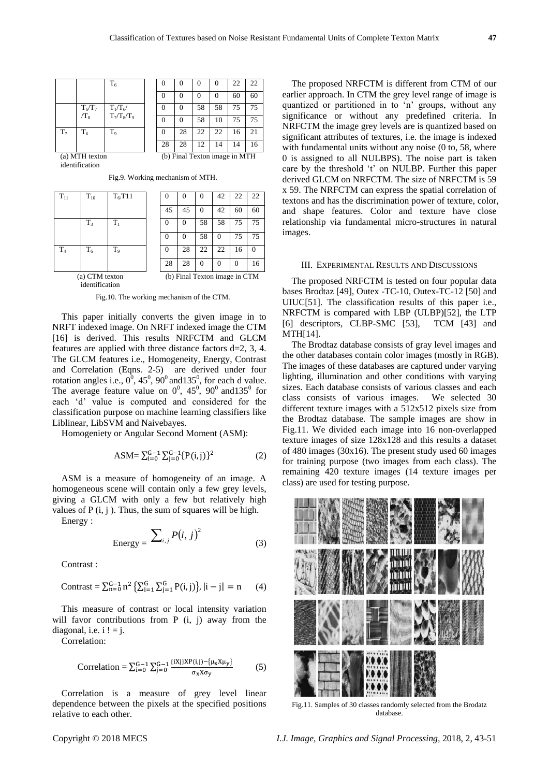|                |           | $T_6$          |                               |    |    |    | 22 | 22 |  |
|----------------|-----------|----------------|-------------------------------|----|----|----|----|----|--|
|                |           |                |                               | 0  |    |    | 60 | 60 |  |
|                | $T_6/T_7$ | $T_1/T_6$      |                               | 0  | 58 | 58 | 75 | 75 |  |
|                | $/T_8$    | $T_7/T_8/T_9$  |                               |    | 58 | 10 | 75 | 75 |  |
| $T_7$          | $T_6$     | T <sub>9</sub> |                               | 28 | 22 | 22 | 16 | 21 |  |
|                |           |                | 28                            | 28 | 12 | 14 | 14 | 16 |  |
| (a) MTH texton |           |                | (b) Final Texton image in MTH |    |    |    |    |    |  |

(a) MTH texton identification

| $T_{11}$       | $T_{10}$                   | $T_6$ T11      |    |                               | 0  | 42 | 22 | 22 |
|----------------|----------------------------|----------------|----|-------------------------------|----|----|----|----|
|                |                            |                | 45 | 45                            | 0  | 42 | 60 | 60 |
|                | $T_{3}$                    | $T_1$          |    |                               | 58 | 58 | 75 | 75 |
|                |                            |                |    |                               | 58 |    | 75 | 75 |
| T <sub>4</sub> | $T_6$                      | T <sub>9</sub> |    | 28                            | 22 | 22 | 16 |    |
|                |                            |                | 28 | 28                            | 0  |    | 0  | 16 |
|                | (a) CTM texton<br>$\cdots$ |                |    | (b) Final Texton image in CTM |    |    |    |    |

Fig.9. Working mechanism of MTH.

45 | 42 | 60 | 60  $T_3$   $T_1$  | 0 | 0 | 58 | 58 | 75 | 75 0 0 58 0 75 75  $T_4$  |  $T_6$  |  $T_9$  | | 0 | 28 | 22 | 22 | 16 | 0 28 28 0 0 0 16

identification

Fig.10. The working mechanism of the CTM.

This paper initially converts the given image in to NRFT indexed image. On NRFT indexed image the CTM [16] is derived. This results NRFCTM and GLCM features are applied with three distance factors d=2, 3, 4. The GLCM features i.e., Homogeneity, Energy, Contrast and Correlation (Eqns. 2-5) are derived under four rotation angles i.e.,  $0^0$ ,  $45^0$ ,  $90^0$  and  $135^0$ , for each d value. The average feature value on  $0^0$ , 45<sup>0</sup>, 90<sup>0</sup> and 135<sup>0</sup> for each 'd' value is computed and considered for the classification purpose on machine learning classifiers like Liblinear, LibSVM and Naivebayes.

Homogeniety or Angular Second Moment (ASM):

$$
ASM = \sum_{i=0}^{G-1} \sum_{j=0}^{G-1} \{P(i,j)\}^2
$$
 (2)

ASM is a measure of homogeneity of an image. A homogeneous scene will contain only a few grey levels, giving a GLCM with only a few but relatively high values of  $P(i, j)$ . Thus, the sum of squares will be high.

Energy :

$$
Energy = \sum_{i,j} P(i,j)^2
$$
 (3)

Contrast :

$$
\text{Contrast} = \sum_{n=0}^{G-1} n^2 \left\{ \textstyle \sum_{i=1}^{G} \sum_{j=1}^{G} P(i,j) \right\} , |i-j| = n \hspace{0.5cm} (4)
$$

This measure of contrast or local intensity variation will favor contributions from P (i, j) away from the diagonal, i.e.  $i! = j$ .

Correlation:

Correlation = 
$$
\sum_{i=0}^{G-1} \sum_{j=0}^{G-1} \frac{\{iXj\}XP(i,j)-\{\mu_X X \mu_Y\}}{\sigma_X X \sigma_Y}
$$
 (5)

Correlation is a measure of grey level linear dependence between the pixels at the specified positions relative to each other.

The proposed NRFCTM is different from CTM of our earlier approach. In CTM the grey level range of image is quantized or partitioned in to 'n' groups, without any significance or without any predefined criteria. In NRFCTM the image grey levels are is quantized based on significant attributes of textures, i.e. the image is indexed with fundamental units without any noise (0 to, 58, where 0 is assigned to all NULBPS). The noise part is taken care by the threshold 't' on NULBP. Further this paper derived GLCM on NRFCTM. The size of NRFCTM is 59 x 59. The NRFCTM can express the spatial correlation of textons and has the discrimination power of texture, color, and shape features. Color and texture have close relationship via fundamental micro-structures in natural images.

## III. EXPERIMENTAL RESULTS AND DISCUSSIONS

The proposed NRFCTM is tested on four popular data bases Brodtaz [49], Outex -TC-10, Outex-TC-12 [50] and UIUC[51]. The classification results of this paper i.e., NRFCTM is compared with LBP (ULBP)[52], the LTP [6] descriptors, CLBP-SMC [53], TCM [43] and MTH[14].

The Brodtaz database consists of gray level images and the other databases contain color images (mostly in RGB). The images of these databases are captured under varying lighting, illumination and other conditions with varying sizes. Each database consists of various classes and each class consists of various images. We selected 30 different texture images with a 512x512 pixels size from the Brodtaz database. The sample images are show in Fig.11. We divided each image into 16 non-overlapped texture images of size 128x128 and this results a dataset of 480 images (30x16). The present study used 60 images for training purpose (two images from each class). The remaining 420 texture images (14 texture images per class) are used for testing purpose.



Fig.11. Samples of 30 classes randomly selected from the Brodatz database.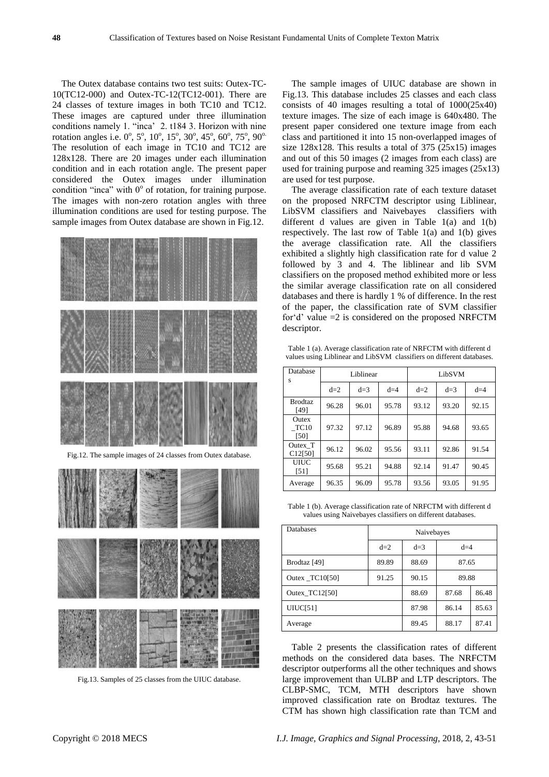The Outex database contains two test suits: Outex-TC-10(TC12-000) and Outex-TC-12(TC12-001). There are 24 classes of texture images in both TC10 and TC12. These images are captured under three illumination conditions namely 1. "inca' 2. t184 3. Horizon with nine rotation angles i.e. 0°, 5°, 10°, 15°, 30°, 45°, 60°, 75°, 90° The resolution of each image in TC10 and TC12 are 128x128. There are 20 images under each illumination condition and in each rotation angle. The present paper considered the Outex images under illumination condition "inca" with  $0^{\circ}$  of rotation, for training purpose. The images with non-zero rotation angles with three illumination conditions are used for testing purpose. The sample images from Outex database are shown in Fig.12.





Fig.13. Samples of 25 classes from the UIUC database.

The sample images of UIUC database are shown in Fig.13. This database includes 25 classes and each class consists of 40 images resulting a total of 1000(25x40) texture images. The size of each image is 640x480. The present paper considered one texture image from each class and partitioned it into 15 non-overlapped images of size 128x128. This results a total of 375 (25x15) images and out of this 50 images (2 images from each class) are used for training purpose and reaming 325 images (25x13) are used for test purpose.

The average classification rate of each texture dataset on the proposed NRFCTM descriptor using Liblinear, LibSVM classifiers and Naivebayes classifiers with different d values are given in Table  $1(a)$  and  $1(b)$ respectively. The last row of Table 1(a) and 1(b) gives the average classification rate. All the classifiers exhibited a slightly high classification rate for d value 2 followed by 3 and 4. The liblinear and lib SVM classifiers on the proposed method exhibited more or less the similar average classification rate on all considered databases and there is hardly 1 % of difference. In the rest of the paper, the classification rate of SVM classifier for'd' value =2 is considered on the proposed NRFCTM descriptor.

Table 1 (a). Average classification rate of NRFCTM with different d values using Liblinear and LibSVM classifiers on different databases.

| Database<br>S                   |       | Liblinear |       | LibSVM |       |       |  |
|---------------------------------|-------|-----------|-------|--------|-------|-------|--|
|                                 | $d=2$ | $d=3$     | $d=4$ | $d=2$  | $d=3$ | $d=4$ |  |
| <b>Brodtaz</b><br>[49]          | 96.28 | 96.01     | 95.78 | 93.12  | 93.20 | 92.15 |  |
| <b>Outex</b><br>TC10<br>[50]    | 97.32 | 97.12     | 96.89 | 95.88  | 94.68 | 93.65 |  |
| Outex_T<br>C <sub>12</sub> [50] | 96.12 | 96.02     | 95.56 | 93.11  | 92.86 | 91.54 |  |
| <b>UIUC</b><br>$[51]$           | 95.68 | 95.21     | 94.88 | 92.14  | 91.47 | 90.45 |  |
| Average                         | 96.35 | 96.09     | 95.78 | 93.56  | 93.05 | 91.95 |  |

Table 1 (b). Average classification rate of NRFCTM with different d values using Naivebayes classifiers on different databases.

| Databases      | Naivebayes |       |       |       |  |  |  |
|----------------|------------|-------|-------|-------|--|--|--|
|                |            |       |       |       |  |  |  |
|                | $d=2$      | $d=3$ | $d=4$ |       |  |  |  |
| Brodtaz [49]   | 89.89      | 88.69 | 87.65 |       |  |  |  |
| Outex TC10[50] | 91.25      | 90.15 | 89.88 |       |  |  |  |
| Outex TC12[50] | 88.69      | 87.68 | 86.48 |       |  |  |  |
| UIUC[51]       | 87.98      | 86.14 | 85.63 |       |  |  |  |
| Average        |            | 89.45 | 88.17 | 87.41 |  |  |  |

Table 2 presents the classification rates of different methods on the considered data bases. The NRFCTM descriptor outperforms all the other techniques and shows large improvement than ULBP and LTP descriptors. The CLBP-SMC, TCM, MTH descriptors have shown improved classification rate on Brodtaz textures. The CTM has shown high classification rate than TCM and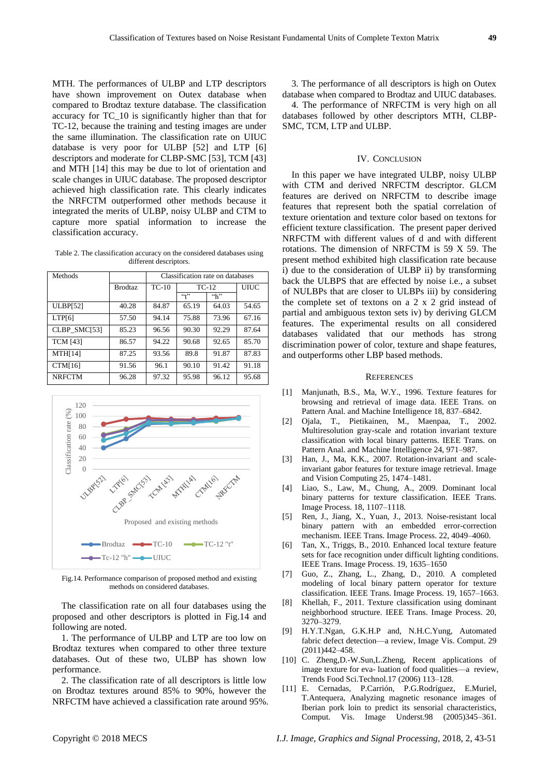MTH. The performances of ULBP and LTP descriptors have shown improvement on Outex database when compared to Brodtaz texture database. The classification accuracy for TC\_10 is significantly higher than that for TC-12, because the training and testing images are under the same illumination. The classification rate on UIUC database is very poor for ULBP [52] and LTP [6] descriptors and moderate for CLBP-SMC [53], TCM [43] and MTH [14] this may be due to lot of orientation and scale changes in UIUC database. The proposed descriptor achieved high classification rate. This clearly indicates the NRFCTM outperformed other methods because it integrated the merits of ULBP, noisy ULBP and CTM to capture more spatial information to increase the classification accuracy.

Table 2. The classification accuracy on the considered databases using different descriptors.

| Methods         |                | Classification rate on databases |         |               |       |  |  |
|-----------------|----------------|----------------------------------|---------|---------------|-------|--|--|
|                 | <b>Brodtaz</b> | $TC-10$                          | $TC-12$ |               | UIUC  |  |  |
|                 |                |                                  | (4)     | $\mathcal{L}$ |       |  |  |
| <b>ULBP[52]</b> | 40.28          | 84.87                            | 65.19   | 64.03         | 54.65 |  |  |
| LTP[6]          | 57.50          | 94.14                            | 75.88   | 73.96         | 67.16 |  |  |
| CLBP SMC[53]    | 85.23          | 96.56                            | 90.30   | 92.29         | 87.64 |  |  |
| <b>TCM [43]</b> | 86.57          | 94.22                            | 90.68   | 92.65         | 85.70 |  |  |
| <b>MTH[14]</b>  | 87.25          | 93.56                            | 89.8    | 91.87         | 87.83 |  |  |
| <b>CTM[16]</b>  | 91.56          | 96.1                             | 90.10   | 91.42         | 91.18 |  |  |
| <b>NRFCTM</b>   | 96.28          | 97.32                            | 95.98   | 96.12         | 95.68 |  |  |



Fig.14. Performance comparison of proposed method and existing methods on considered databases.

The classification rate on all four databases using the proposed and other descriptors is plotted in Fig.14 and following are noted.

1. The performance of ULBP and LTP are too low on Brodtaz textures when compared to other three texture databases. Out of these two, ULBP has shown low performance.

2. The classification rate of all descriptors is little low on Brodtaz textures around 85% to 90%, however the NRFCTM have achieved a classification rate around 95%.

3. The performance of all descriptors is high on Outex database when compared to Brodtaz and UIUC databases.

4. The performance of NRFCTM is very high on all databases followed by other descriptors MTH, CLBP-SMC, TCM, LTP and ULBP.

#### IV. CONCLUSION

In this paper we have integrated ULBP, noisy ULBP with CTM and derived NRFCTM descriptor. GLCM features are derived on NRFCTM to describe image features that represent both the spatial correlation of texture orientation and texture color based on textons for efficient texture classification. The present paper derived NRFCTM with different values of d and with different rotations. The dimension of NRFCTM is 59 X 59. The present method exhibited high classification rate because i) due to the consideration of ULBP ii) by transforming back the ULBPS that are effected by noise i.e., a subset of NULBPs that are closer to ULBPs iii) by considering the complete set of textons on a 2 x 2 grid instead of partial and ambiguous texton sets iv) by deriving GLCM features. The experimental results on all considered databases validated that our methods has strong discrimination power of color, texture and shape features, and outperforms other LBP based methods.

#### **REFERENCES**

- [1] Manjunath, B.S., Ma, W.Y., 1996. Texture features for browsing and retrieval of image data. IEEE Trans. on Pattern Anal. and Machine Intelligence 18, 837–6842.
- [2] Ojala, T., Pietikainen, M., Maenpaa, T., 2002. Multiresolution gray-scale and rotation invariant texture classification with local binary patterns. IEEE Trans. on Pattern Anal. and Machine Intelligence 24, 971–987.
- [3] Han, J., Ma, K.K., 2007. Rotation-invariant and scaleinvariant gabor features for texture image retrieval. Image and Vision Computing 25, 1474–1481.
- [4] Liao, S., Law, M., Chung, A., 2009. Dominant local binary patterns for texture classification. IEEE Trans. Image Process. 18, 1107–1118.
- [5] Ren, J., Jiang, X., Yuan, J., 2013. Noise-resistant local binary pattern with an embedded error-correction mechanism. IEEE Trans. Image Process. 22, 4049–4060.
- [6] Tan, X., Triggs, B., 2010. Enhanced local texture feature sets for face recognition under difficult lighting conditions. IEEE Trans. Image Process. 19, 1635–1650
- [7] Guo, Z., Zhang, L., Zhang, D., 2010. A completed modeling of local binary pattern operator for texture classification. IEEE Trans. Image Process. 19, 1657–1663.
- [8] Khellah, F., 2011. Texture classification using dominant neighborhood structure. IEEE Trans. Image Process. 20, 3270–3279.
- [9] H.Y.T.Ngan, G.K.H.P and, N.H.C.Yung, Automated fabric defect detection—a review, Image Vis. Comput. 29 (2011)442–458.
- [10] C. Zheng,D.-W.Sun,L.Zheng, Recent applications of image texture for eva- luation of food qualities—a review, Trends Food Sci.Technol.17 (2006) 113–128.
- [11] E. Cernadas, P.Carrión, P.G.Rodr guez, E.Muriel, T.Antequera, Analyzing magnetic resonance images of Iberian pork loin to predict its sensorial characteristics, Comput. Vis. Image Underst.98 (2005)345–361.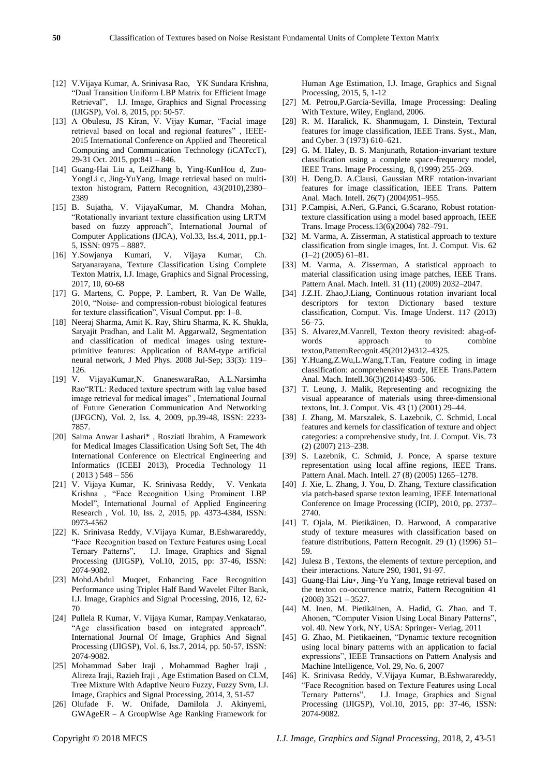- [12] V.Vijaya Kumar, A. Srinivasa Rao, YK Sundara Krishna, "Dual Transition Uniform LBP Matrix for Efficient Image Retrieval", I.J. Image, Graphics and Signal Processing (IJIGSP), Vol. 8, 2015, pp: 50-57.
- [13] A Obulesu, JS Kiran, V. Vijay Kumar, "Facial image retrieval based on local and regional features" , IEEE-2015 International Conference on Applied and Theoretical Computing and Communication Technology (iCATccT), 29-31 Oct. 2015, pp:841 – 846.
- [14] Guang-Hai Liu a, LeiZhang b, Ying-KunHou d, Zuo-YongLi c, Jing-YuYang, Image retrieval based on multitexton histogram, Pattern Recognition, 43(2010),2380– 2389
- [15] B. Sujatha, V. VijayaKumar, M. Chandra Mohan, "Rotationally invariant texture classification using LRTM based on fuzzy approach", International Journal of Computer Applications (IJCA), Vol.33, Iss.4, 2011, pp.1- 5, ISSN: 0975 – 8887.
- [16] Y.Sowjanya Kumari, V. Vijaya Kumar, Ch. Satyanarayana, Texture Classification Using Complete Texton Matrix, I.J. Image, Graphics and Signal Processing, 2017, 10, 60-68
- [17] G. Martens, C. Poppe, P. Lambert, R. Van De Walle, 2010, "Noise- and compression-robust biological features for texture classification", Visual Comput. pp: 1–8.
- [18] Neeraj Sharma, Amit K. Ray, Shiru Sharma, K. K. Shukla, Satyajit Pradhan, and Lalit M. Aggarwal2, Segmentation and classification of medical images using textureprimitive features: Application of BAM-type artificial neural network, J Med Phys. 2008 Jul-Sep; 33(3): 119– 126.
- [19] V. VijayaKumar,N. GnaneswaraRao, A.L.Narsimha Rao"RTL: Reduced texture spectrum with lag value based image retrieval for medical images" , International Journal of Future Generation Communication And Networking (IJFGCN), Vol. 2, Iss. 4, 2009, pp.39-48, ISSN: 2233- 7857.
- [20] Saima Anwar Lashari\* , Rosziati Ibrahim, A Framework for Medical Images Classification Using Soft Set, The 4th International Conference on Electrical Engineering and Informatics (ICEEI 2013), Procedia Technology 11  $(2013)$  548 – 556
- [21] V. Vijaya Kumar, K. Srinivasa Reddy, V. Venkata Krishna , "Face Recognition Using Prominent LBP Model", International Journal of Applied Engineering Research , Vol. 10, Iss. 2, 2015, pp. 4373-4384, ISSN: 0973-4562
- [22] K. Srinivasa Reddy, V.Vijaya Kumar, B.Eshwarareddy, "Face Recognition based on Texture Features using Local Ternary Patterns", I.J. Image, Graphics and Signal Processing (IJIGSP), Vol.10, 2015, pp: 37-46, ISSN: 2074-9082.
- [23] Mohd.Abdul Muqeet, Enhancing Face Recognition Performance using Triplet Half Band Wavelet Filter Bank, I.J. Image, Graphics and Signal Processing, 2016, 12, 62- 70
- [24] Pullela R Kumar, V. Vijaya Kumar, Rampay.Venkatarao, "Age classification based on integrated approach". International Journal Of Image, Graphics And Signal Processing (IJIGSP), Vol. 6, Iss.7, 2014, pp. 50-57, ISSN: 2074-9082.
- [25] Mohammad Saber Iraji , Mohammad Bagher Iraji , Alireza Iraji, Razieh Iraji , Age Estimation Based on CLM, Tree Mixture With Adaptive Neuro Fuzzy, Fuzzy Svm, I.J. Image, Graphics and Signal Processing, 2014, 3, 51-57
- [26] Olufade F. W. Onifade, Damilola J. Akinyemi, GWAgeER – A GroupWise Age Ranking Framework for

Human Age Estimation, I.J. Image, Graphics and Signal Processing, 2015, 5, 1-12

- [27] M. Petrou, P. Garc á-Sevilla, Image Processing: Dealing With Texture, Wiley, England, 2006.
- [28] R. M. Haralick, K. Shanmugam, I. Dinstein, Textural features for image classification, IEEE Trans. Syst., Man, and Cyber. 3 (1973) 610–621.
- [29] G. M. Haley, B. S. Manjunath, Rotation-invariant texture classification using a complete space-frequency model, IEEE Trans. Image Processing, 8, (1999) 255–269.
- [30] H. Deng,D. A.Clausi, Gaussian MRF rotation-invariant features for image classification, IEEE Trans. Pattern Anal. Mach. Intell. 26(7) (2004)951–955.
- [31] P.Campisi, A.Neri, G.Panci, G.Scarano, Robust rotationtexture classification using a model based approach, IEEE Trans. Image Process.13(6)(2004) 782–791.
- [32] M. Varma, A. Zisserman, A statistical approach to texture classification from single images, Int. J. Comput. Vis. 62  $(1-2)$   $(2005)$   $61-81$ .
- [33] M. Varma, A. Zisserman, A statistical approach to material classification using image patches, IEEE Trans. Pattern Anal. Mach. Intell. 31 (11) (2009) 2032–2047.
- [34] J.Z.H. Zhao,J.Liang, Continuous rotation invariant local descriptors for texton Dictionary based texture classification, Comput. Vis. Image Underst. 117 (2013) 56–75.
- [35] S. Alvarez, M. Vanrell, Texton theory revisited: abag-ofwords approach to combine texton,PatternRecognit.45(2012)4312–4325.
- [36] Y.Huang,Z.Wu,L.Wang,T.Tan, Feature coding in image classification: acomprehensive study, IEEE Trans.Pattern Anal. Mach. Intell.36(3)(2014)493–506.
- [37] T. Leung, J. Malik, Representing and recognizing the visual appearance of materials using three-dimensional textons, Int. J. Comput. Vis. 43 (1) (2001) 29–44.
- [38] J. Zhang, M. Marszalek, S. Lazebnik, C. Schmid, Local features and kernels for classification of texture and object categories: a comprehensive study, Int. J. Comput. Vis. 73 (2) (2007) 213–238.
- [39] S. Lazebnik, C. Schmid, J. Ponce, A sparse texture representation using local affine regions, IEEE Trans. Pattern Anal. Mach. Intell. 27 (8) (2005) 1265–1278.
- [40] J. Xie, L. Zhang, J. You, D. Zhang, Texture classification via patch-based sparse texton learning, IEEE International Conference on Image Processing (ICIP), 2010, pp. 2737– 2740.
- [41] T. Ojala, M. Pietikäinen, D. Harwood, A comparative study of texture measures with classification based on feature distributions, Pattern Recognit. 29 (1) (1996) 51– 59.
- [42] Julesz B , Textons, the elements of texture perception, and their interactions. Nature 290, 1981, 91-97.
- [43] Guang-Hai Liu∗, Jing-Yu Yang, Image retrieval based on the texton co-occurrence matrix, Pattern Recognition 41 (2008) 3521 – 3527.
- [44] M. Inen, M. Pietikäinen, A. Hadid, G. Zhao, and T. Ahonen, "Computer Vision Using Local Binary Patterns", vol. 40. New York, NY, USA: Springer- Verlag, 2011
- [45] G. Zhao, M. Pietikaeinen, "Dynamic texture recognition using local binary patterns with an application to facial expressions", IEEE Transactions on Pattern Analysis and Machine Intelligence, Vol. 29, No. 6, 2007
- [46] K. Srinivasa Reddy, V.Vijaya Kumar, B.Eshwarareddy, "Face Recognition based on Texture Features using Local Ternary Patterns", I.J. Image, Graphics and Signal Processing (IJIGSP), Vol.10, 2015, pp: 37-46, ISSN: 2074-9082.